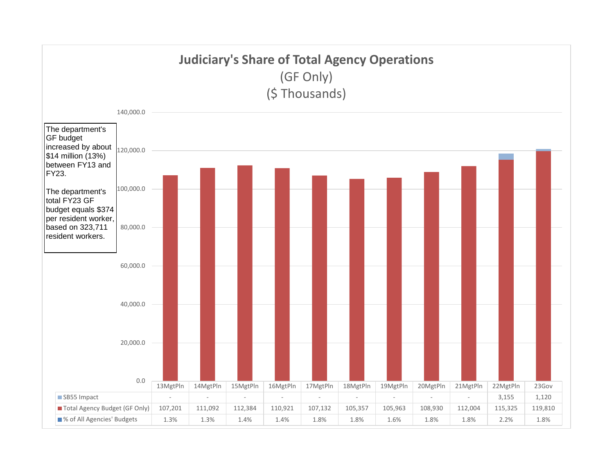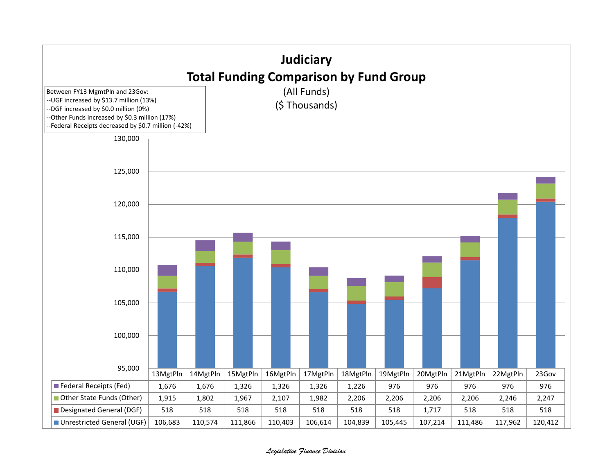